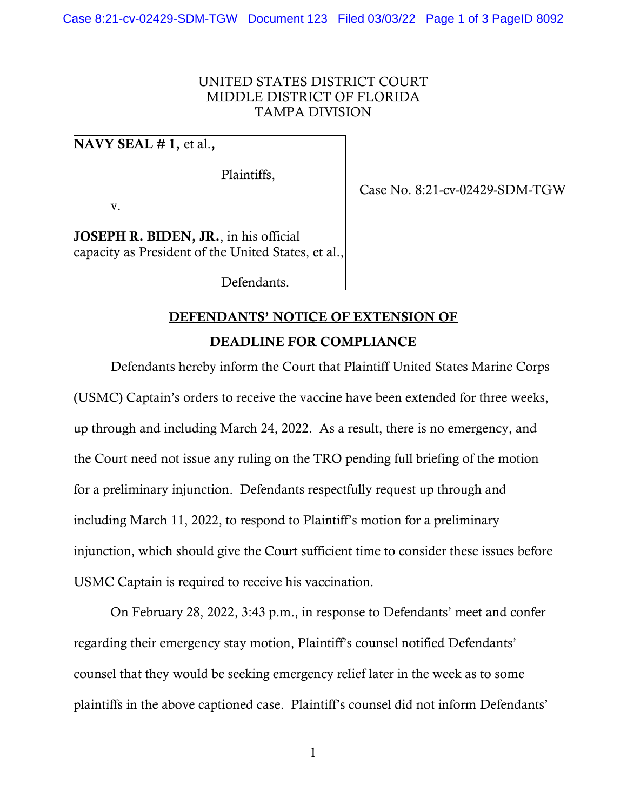## UNITED STATES DISTRICT COURT MIDDLE DISTRICT OF FLORIDA TAMPA DIVISION

## NAVY SEAL  $# 1$ , et al.,

Plaintiffs,

v.

JOSEPH R. BIDEN, JR., in his official capacity as President of the United States, et al.,

Defendants.

## DEFENDANTS' NOTICE OF EXTENSION OF

DEADLINE FOR COMPLIANCE

Defendants hereby inform the Court that Plaintiff United States Marine Corps (USMC) Captain's orders to receive the vaccine have been extended for three weeks, up through and including March 24, 2022. As a result, there is no emergency, and the Court need not issue any ruling on the TRO pending full briefing of the motion for a preliminary injunction. Defendants respectfully request up through and including March 11, 2022, to respond to Plaintiff's motion for a preliminary injunction, which should give the Court sufficient time to consider these issues before USMC Captain is required to receive his vaccination.

On February 28, 2022, 3:43 p.m., in response to Defendants' meet and confer regarding their emergency stay motion, Plaintiff's counsel notified Defendants' counsel that they would be seeking emergency relief later in the week as to some plaintiffs in the above captioned case. Plaintiff's counsel did not inform Defendants'

1

Case No. 8:21-cv-02429-SDM-TGW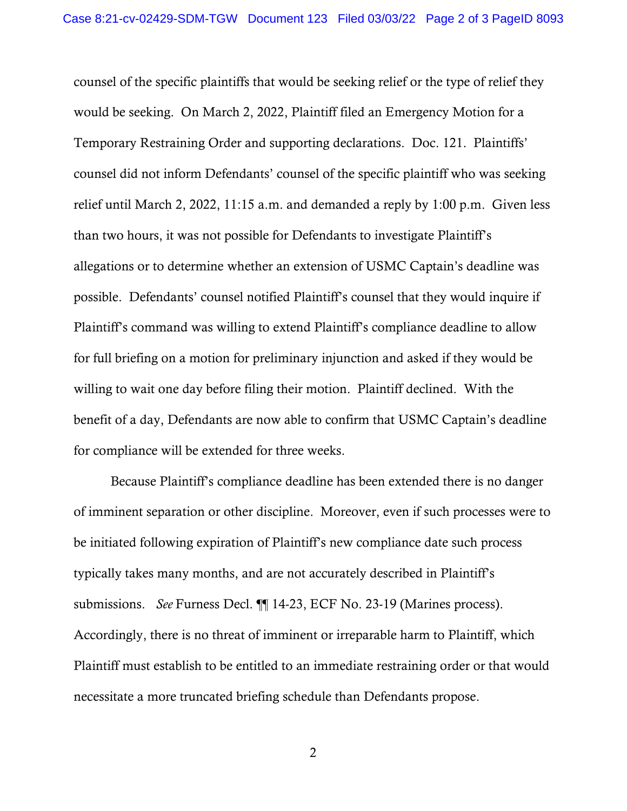counsel of the specific plaintiffs that would be seeking relief or the type of relief they would be seeking. On March 2, 2022, Plaintiff filed an Emergency Motion for a Temporary Restraining Order and supporting declarations. Doc. 121. Plaintiffs' counsel did not inform Defendants' counsel of the specific plaintiff who was seeking relief until March 2, 2022, 11:15 a.m. and demanded a reply by 1:00 p.m. Given less than two hours, it was not possible for Defendants to investigate Plaintiff's allegations or to determine whether an extension of USMC Captain's deadline was possible. Defendants' counsel notified Plaintiff's counsel that they would inquire if Plaintiff's command was willing to extend Plaintiff's compliance deadline to allow for full briefing on a motion for preliminary injunction and asked if they would be willing to wait one day before filing their motion. Plaintiff declined. With the benefit of a day, Defendants are now able to confirm that USMC Captain's deadline for compliance will be extended for three weeks.

Because Plaintiff's compliance deadline has been extended there is no danger of imminent separation or other discipline. Moreover, even if such processes were to be initiated following expiration of Plaintiff's new compliance date such process typically takes many months, and are not accurately described in Plaintiff's submissions. *See* Furness Decl. ¶¶ 14-23, ECF No. 23-19 (Marines process). Accordingly, there is no threat of imminent or irreparable harm to Plaintiff, which Plaintiff must establish to be entitled to an immediate restraining order or that would necessitate a more truncated briefing schedule than Defendants propose.

2